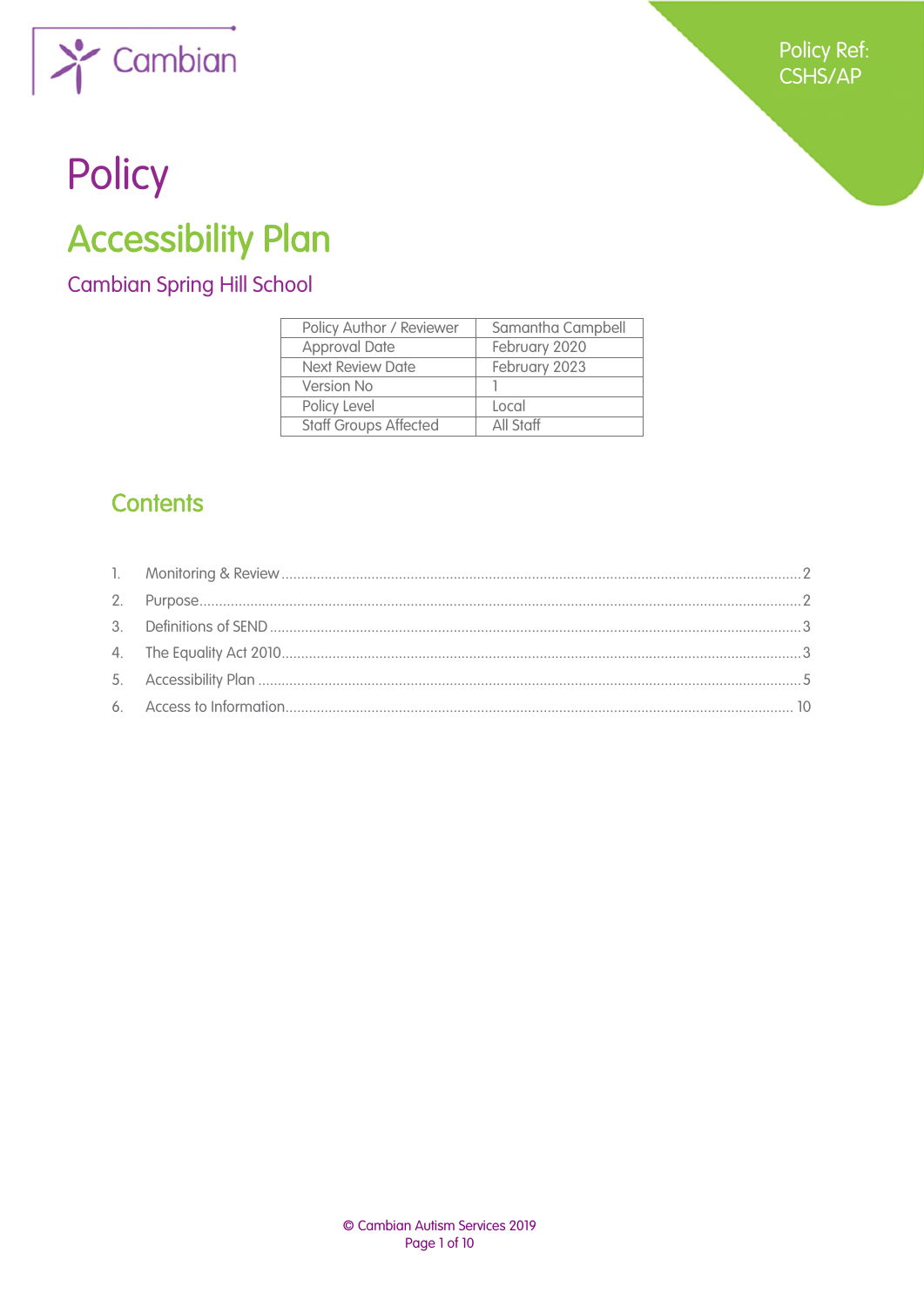

# Policy

## **Accessibility Plan**

**Cambian Spring Hill School** 

| Policy Author / Reviewer     | Samantha Campbell |
|------------------------------|-------------------|
| <b>Approval Date</b>         | February 2020     |
| <b>Next Review Date</b>      | February 2023     |
| Version No                   |                   |
| Policy Level                 | Local             |
| <b>Staff Groups Affected</b> | All Staff         |

## **Contents**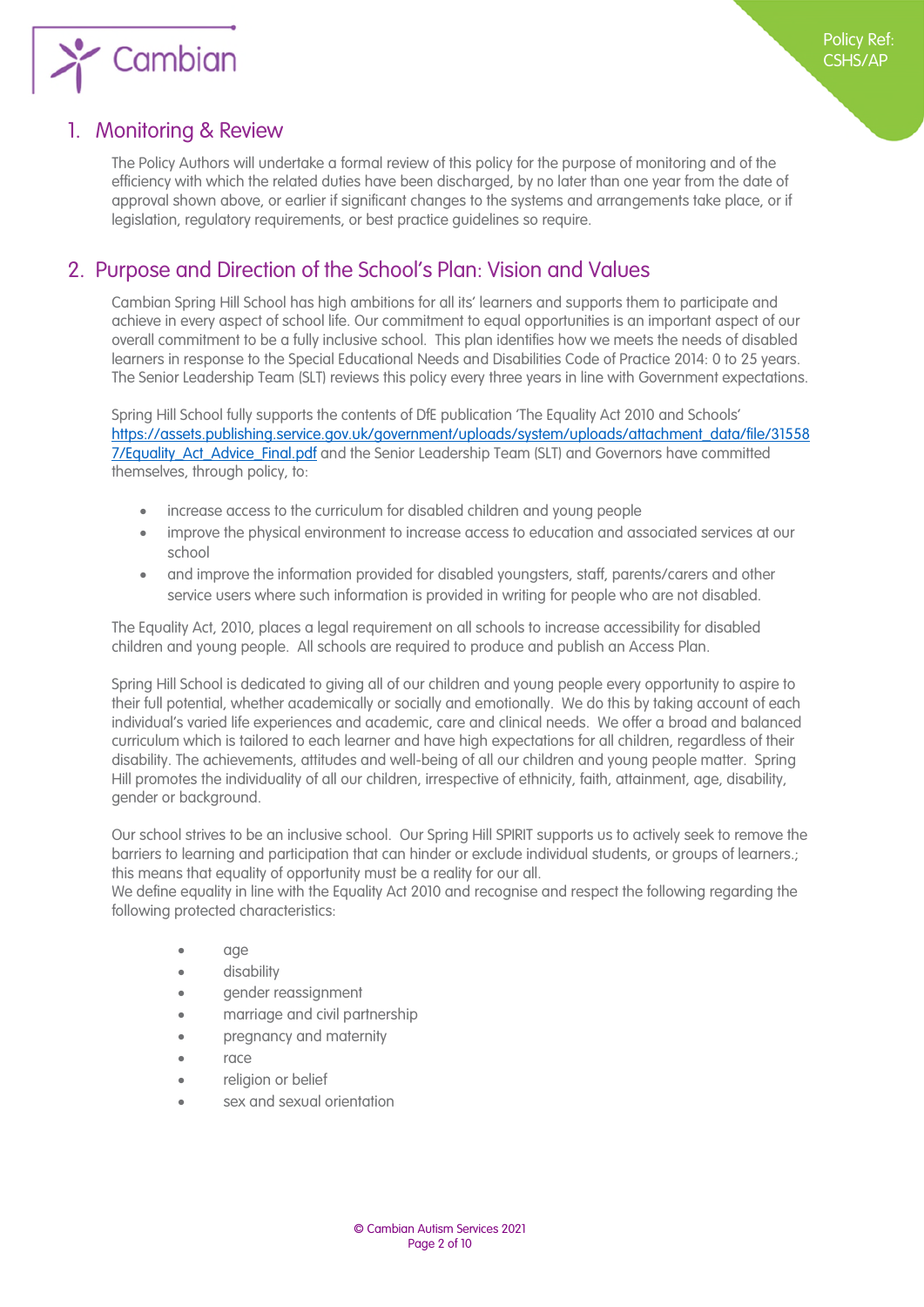

### <span id="page-1-0"></span>1. Monitoring & Review

The Policy Authors will undertake a formal review of this policy for the purpose of monitoring and of the efficiency with which the related duties have been discharged, by no later than one year from the date of approval shown above, or earlier if significant changes to the systems and arrangements take place, or if legislation, regulatory requirements, or best practice guidelines so require.

## <span id="page-1-1"></span>2. Purpose and Direction of the School's Plan: Vision and Values

Cambian Spring Hill School has high ambitions for all its' learners and supports them to participate and achieve in every aspect of school life. Our commitment to equal opportunities is an important aspect of our overall commitment to be a fully inclusive school. This plan identifies how we meets the needs of disabled learners in response to the Special Educational Needs and Disabilities Code of Practice 2014: 0 to 25 years. The Senior Leadership Team (SLT) reviews this policy every three years in line with Government expectations.

Spring Hill School fully supports the contents of DfE publication 'The Equality Act 2010 and Schools' [https://assets.publishing.service.gov.uk/government/uploads/system/uploads/attachment\\_data/file/31558](https://assets.publishing.service.gov.uk/government/uploads/system/uploads/attachment_data/file/315587/Equality_Act_Advice_Final.pdf) 7/Equality Act Advice Final.pdf and the Senior Leadership Team (SLT) and Governors have committed themselves, through policy, to:

- increase access to the curriculum for disabled children and young people
- improve the physical environment to increase access to education and associated services at our school
- and improve the information provided for disabled youngsters, staff, parents/carers and other service users where such information is provided in writing for people who are not disabled.

The Equality Act, 2010, places a legal requirement on all schools to increase accessibility for disabled children and young people. All schools are required to produce and publish an Access Plan.

Spring Hill School is dedicated to giving all of our children and young people every opportunity to aspire to their full potential, whether academically or socially and emotionally. We do this by taking account of each individual's varied life experiences and academic, care and clinical needs. We offer a broad and balanced curriculum which is tailored to each learner and have high expectations for all children, regardless of their disability. The achievements, attitudes and well-being of all our children and young people matter. Spring Hill promotes the individuality of all our children, irrespective of ethnicity, faith, attainment, age, disability, gender or background.

Our school strives to be an inclusive school. Our Spring Hill SPIRIT supports us to actively seek to remove the barriers to learning and participation that can hinder or exclude individual students, or groups of learners.; this means that equality of opportunity must be a reality for our all.

We define equality in line with the Equality Act 2010 and recognise and respect the following regarding the following protected characteristics:

- age
- disability
- gender reassignment
- marriage and civil partnership
- pregnancy and maternity
- race
- religion or belief
- sex and sexual orientation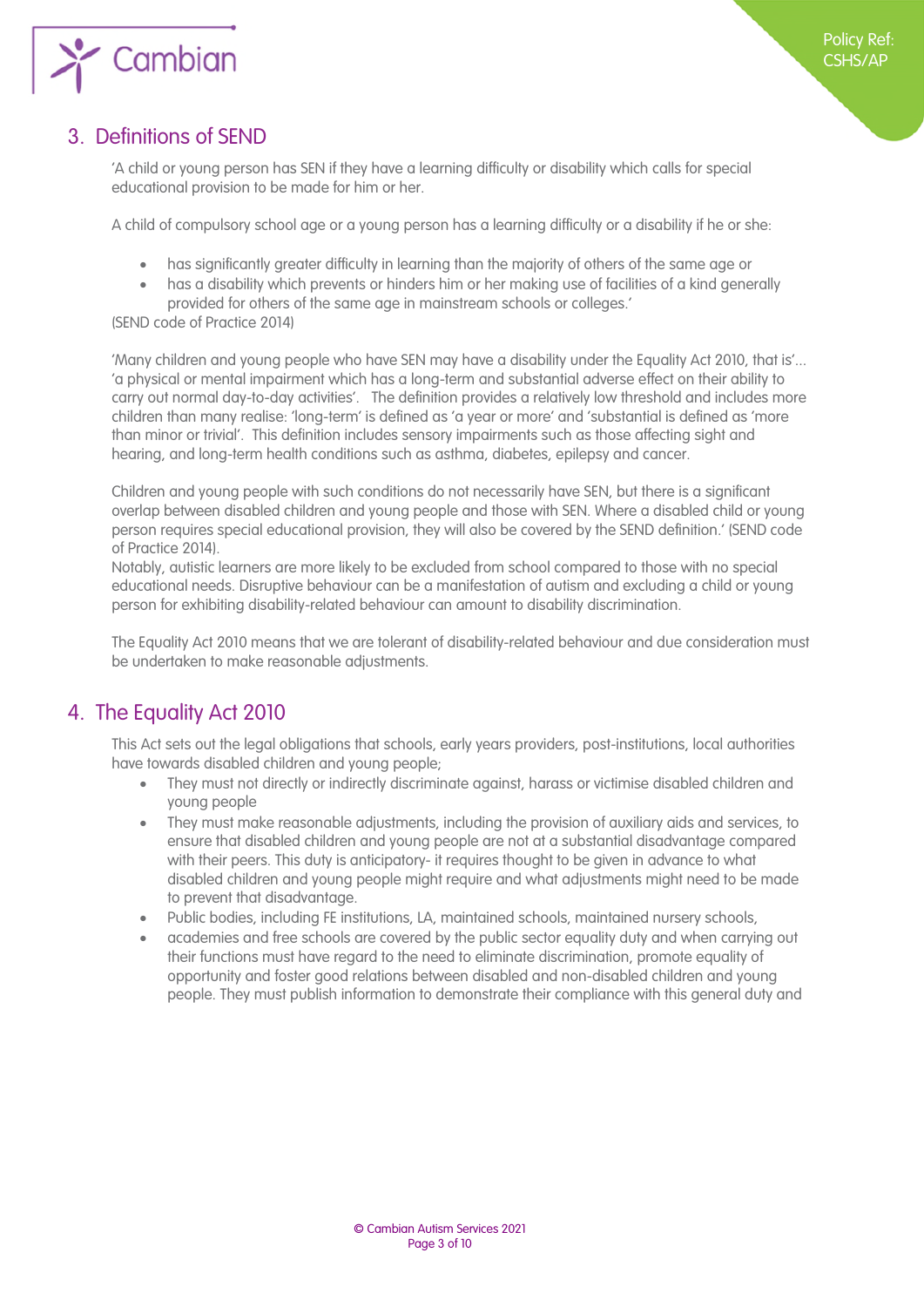

## <span id="page-2-1"></span>3. Definitions of SEND

<span id="page-2-0"></span>'A child or young person has SEN if they have a learning difficulty or disability which calls for special educational provision to be made for him or her.

A child of compulsory school age or a young person has a learning difficulty or a disability if he or she:

- has significantly greater difficulty in learning than the majority of others of the same age or
- has a disability which prevents or hinders him or her making use of facilities of a kind generally provided for others of the same age in mainstream schools or colleges.'

(SEND code of Practice 2014)

'Many children and young people who have SEN may have a disability under the Equality Act 2010, that is'... 'a physical or mental impairment which has a long-term and substantial adverse effect on their ability to carry out normal day-to-day activities'. The definition provides a relatively low threshold and includes more children than many realise: 'long-term' is defined as 'a year or more' and 'substantial is defined as 'more than minor or trivial'. This definition includes sensory impairments such as those affecting sight and hearing, and long-term health conditions such as asthma, diabetes, epilepsy and cancer.

Children and young people with such conditions do not necessarily have SEN, but there is a significant overlap between disabled children and young people and those with SEN. Where a disabled child or young person requires special educational provision, they will also be covered by the SEND definition.' (SEND code of Practice 2014).

Notably, autistic learners are more likely to be excluded from school compared to those with no special educational needs. Disruptive behaviour can be a manifestation of autism and excluding a child or young person for exhibiting disability-related behaviour can amount to disability discrimination.

The Equality Act 2010 means that we are tolerant of disability-related behaviour and due consideration must be undertaken to make reasonable adjustments.

## <span id="page-2-2"></span>4. The Equality Act 2010

This Act sets out the legal obligations that schools, early years providers, post-institutions, local authorities have towards disabled children and young people;

- They must not directly or indirectly discriminate against, harass or victimise disabled children and young people
- They must make reasonable adjustments, including the provision of auxiliary aids and services, to ensure that disabled children and young people are not at a substantial disadvantage compared with their peers. This duty is anticipatory- it requires thought to be given in advance to what disabled children and young people might require and what adjustments might need to be made to prevent that disadvantage.
- Public bodies, including FE institutions, LA, maintained schools, maintained nursery schools,
- academies and free schools are covered by the public sector equality duty and when carrying out their functions must have regard to the need to eliminate discrimination, promote equality of opportunity and foster good relations between disabled and non-disabled children and young people. They must publish information to demonstrate their compliance with this general duty and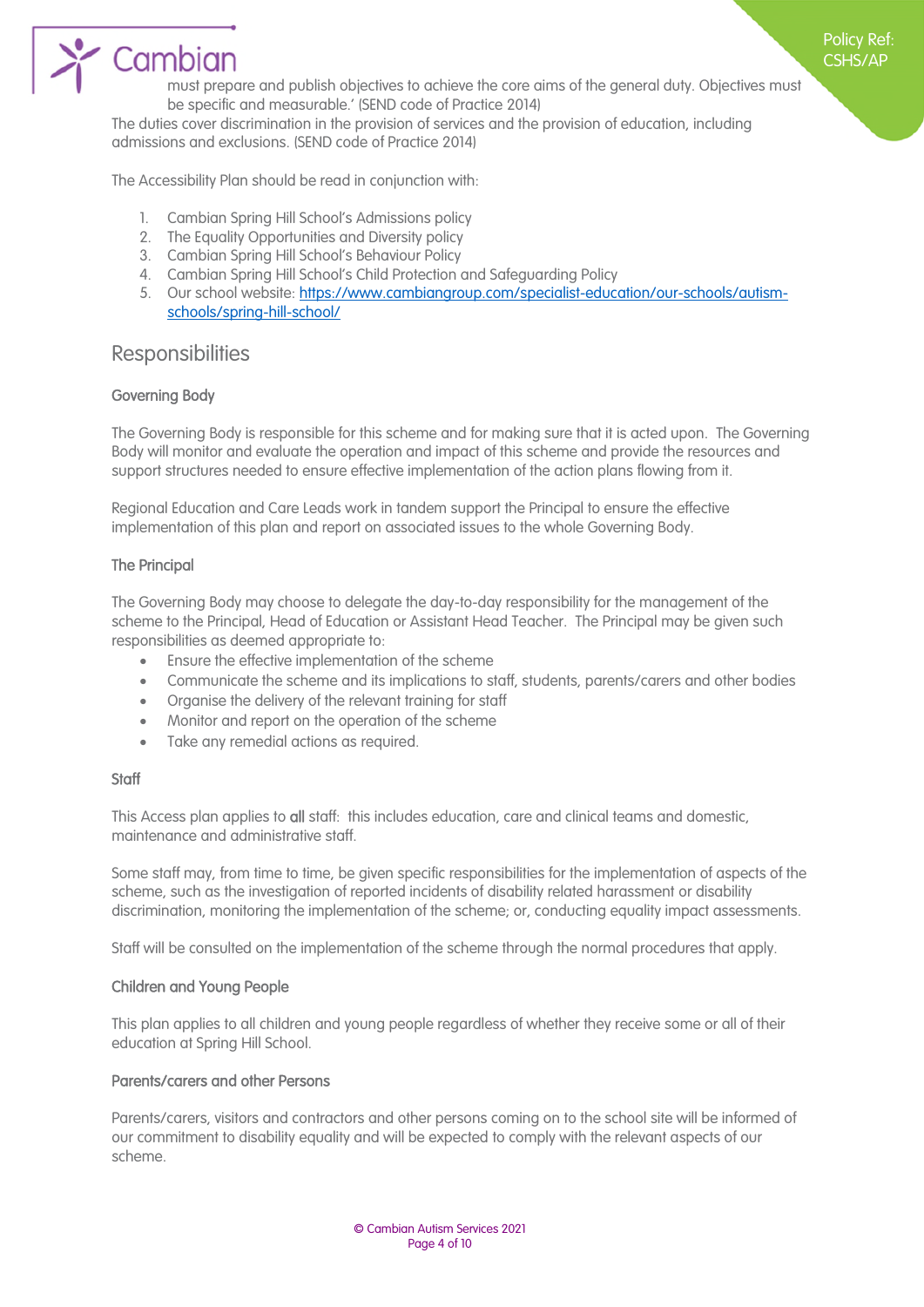

must prepare and publish objectives to achieve the core aims of the general duty. Objectives must be specific and measurable.' (SEND code of Practice 2014)

Policy Ref: CSHS/AP

The duties cover discrimination in the provision of services and the provision of education, including admissions and exclusions. (SEND code of Practice 2014)

The Accessibility Plan should be read in conjunction with:

- 1. Cambian Spring Hill School's Admissions policy
- 2. The Equality Opportunities and Diversity policy
- 3. Cambian Spring Hill School's Behaviour Policy
- 4. Cambian Spring Hill School's Child Protection and Safeguarding Policy
- 5. Our school website: [https://www.cambiangroup.com/specialist-education/our-schools/autism](https://www.cambiangroup.com/specialist-education/our-schools/autism-schools/spring-hill-school/)[schools/spring-hill-school/](https://www.cambiangroup.com/specialist-education/our-schools/autism-schools/spring-hill-school/)

#### **Responsibilities**

#### Governing Body

The Governing Body is responsible for this scheme and for making sure that it is acted upon. The Governing Body will monitor and evaluate the operation and impact of this scheme and provide the resources and support structures needed to ensure effective implementation of the action plans flowing from it.

Regional Education and Care Leads work in tandem support the Principal to ensure the effective implementation of this plan and report on associated issues to the whole Governing Body.

#### The Principal

The Governing Body may choose to delegate the day-to-day responsibility for the management of the scheme to the Principal, Head of Education or Assistant Head Teacher. The Principal may be given such responsibilities as deemed appropriate to:

- Ensure the effective implementation of the scheme
- Communicate the scheme and its implications to staff, students, parents/carers and other bodies
- Organise the delivery of the relevant training for staff
- Monitor and report on the operation of the scheme
- Take any remedial actions as required.

#### **Staff**

This Access plan applies to all staff: this includes education, care and clinical teams and domestic, maintenance and administrative staff.

Some staff may, from time to time, be given specific responsibilities for the implementation of aspects of the scheme, such as the investigation of reported incidents of disability related harassment or disability discrimination, monitoring the implementation of the scheme; or, conducting equality impact assessments.

Staff will be consulted on the implementation of the scheme through the normal procedures that apply.

#### Children and Young People

This plan applies to all children and young people regardless of whether they receive some or all of their education at Spring Hill School.

#### Parents/carers and other Persons

Parents/carers, visitors and contractors and other persons coming on to the school site will be informed of our commitment to disability equality and will be expected to comply with the relevant aspects of our scheme.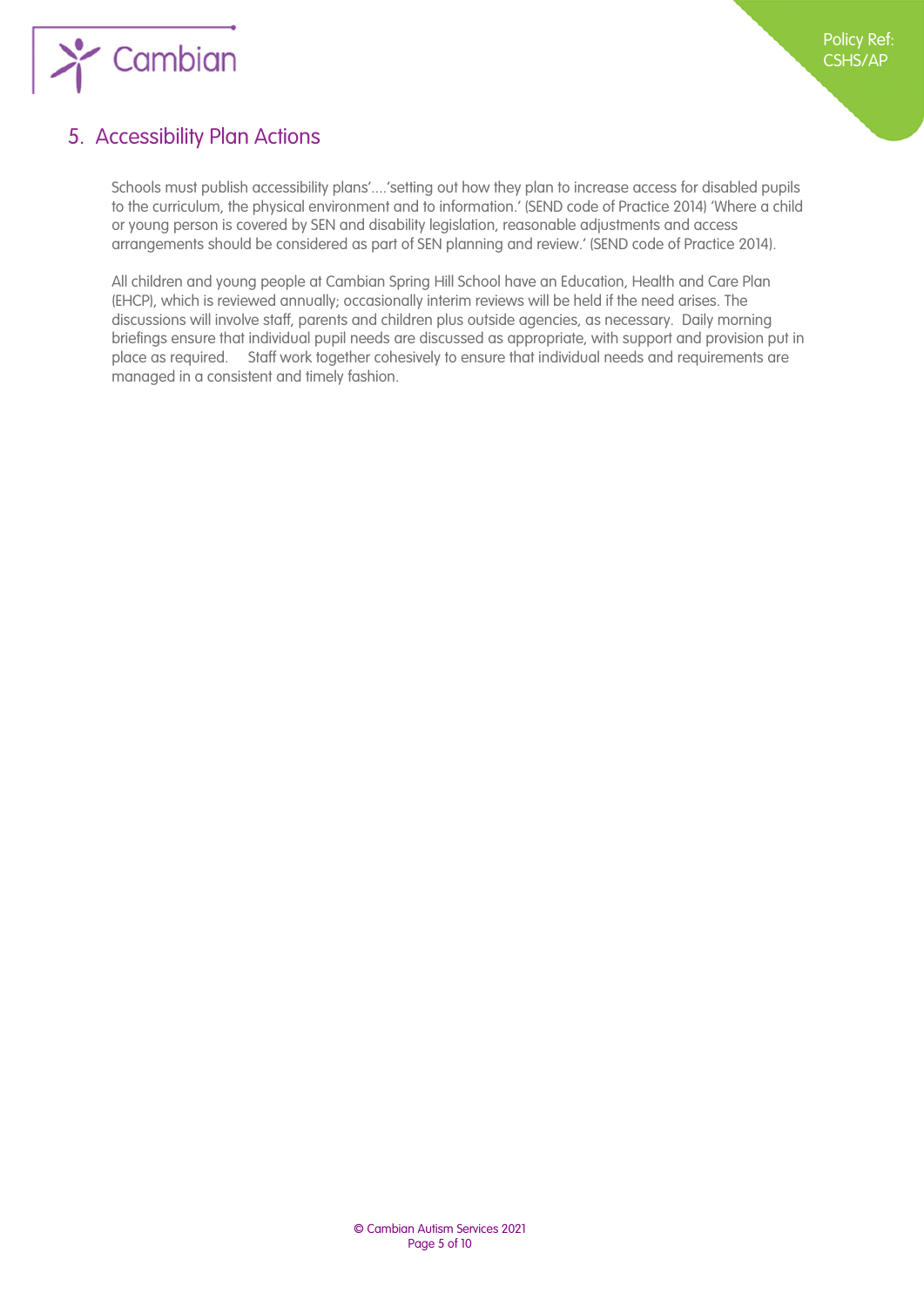

## <span id="page-4-1"></span>5. Accessibility Plan Actions

<span id="page-4-0"></span>Schools must publish accessibility plans'....'setting out how they plan to increase access for disabled pupils to the curriculum, the physical environment and to information.' (SEND code of Practice 2014) 'Where a child or young person is covered by SEN and disability legislation, reasonable adjustments and access arrangements should be considered as part of SEN planning and review.' (SEND code of Practice 2014).

All children and young people at Cambian Spring Hill School have an Education, Health and Care Plan (EHCP), which is reviewed annually; occasionally interim reviews will be held if the need arises. The discussions will involve staff, parents and children plus outside agencies, as necessary. Daily morning briefings ensure that individual pupil needs are discussed as appropriate, with support and provision put in place as required. Staff work together cohesively to ensure that individual needs and requirements are managed in a consistent and timely fashion.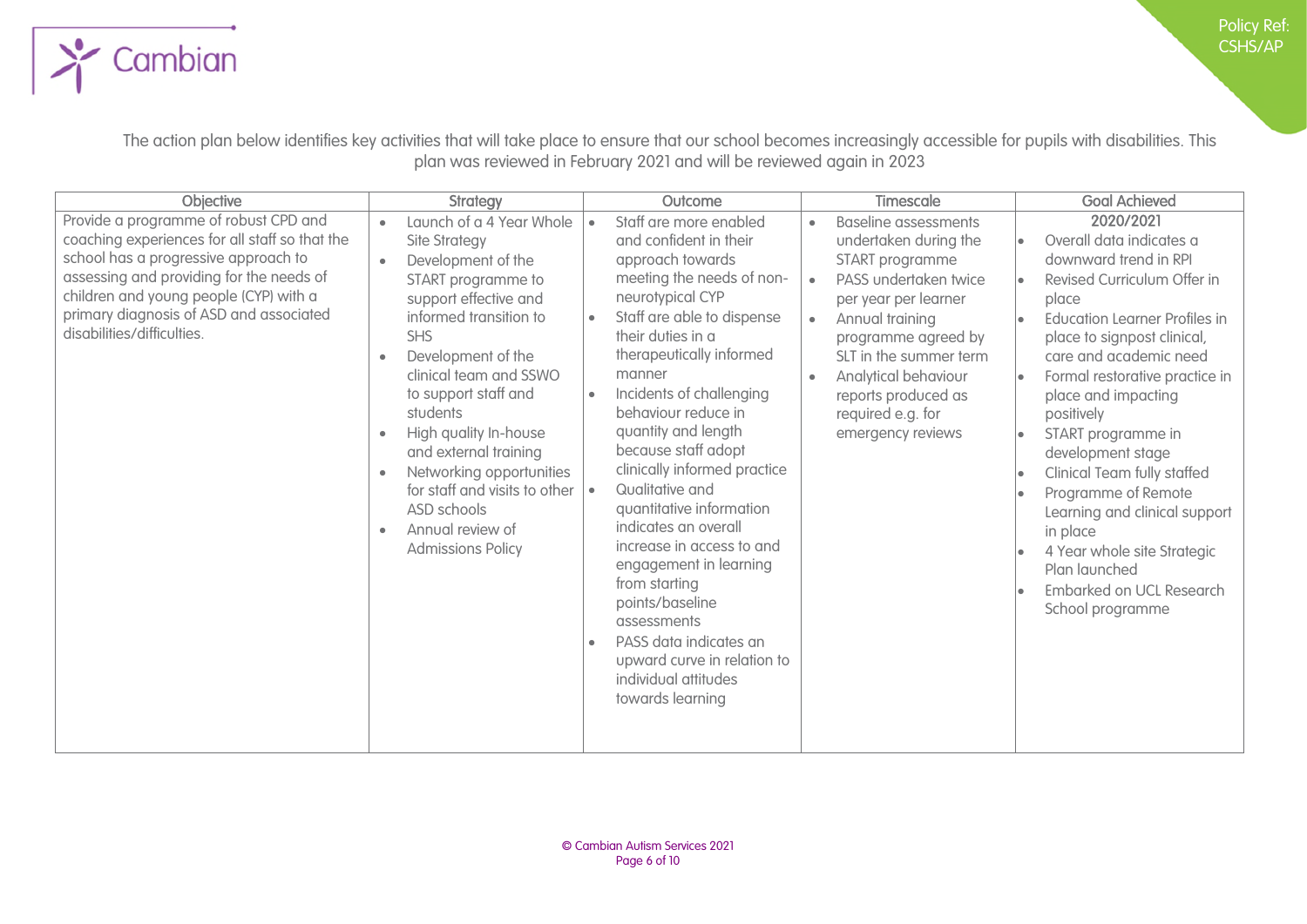Policy Ref: CSHS/AP

The action plan below identifies key activities that will take place to ensure that our school becomes increasingly accessible for pupils with disabilities. This plan was reviewed in February 2021 and will be reviewed again in 2023

 $\sum$  Cambian

| Objective                                                                                                                                                                                                                                                                                      | <b>Strategy</b>                                                                                                                                                                                                                                                                                                                                                                                                                                                        | Outcome                                                                                                                                                                                                                                                                                                                                                                                                                                                                                                                                                                                                                                            | Timescale                                                                                                                                                                                                                                                                                                                                 | <b>Goal Achieved</b>                                                                                                                                                                                                                                                                                                                                                                                                                                                                                                         |
|------------------------------------------------------------------------------------------------------------------------------------------------------------------------------------------------------------------------------------------------------------------------------------------------|------------------------------------------------------------------------------------------------------------------------------------------------------------------------------------------------------------------------------------------------------------------------------------------------------------------------------------------------------------------------------------------------------------------------------------------------------------------------|----------------------------------------------------------------------------------------------------------------------------------------------------------------------------------------------------------------------------------------------------------------------------------------------------------------------------------------------------------------------------------------------------------------------------------------------------------------------------------------------------------------------------------------------------------------------------------------------------------------------------------------------------|-------------------------------------------------------------------------------------------------------------------------------------------------------------------------------------------------------------------------------------------------------------------------------------------------------------------------------------------|------------------------------------------------------------------------------------------------------------------------------------------------------------------------------------------------------------------------------------------------------------------------------------------------------------------------------------------------------------------------------------------------------------------------------------------------------------------------------------------------------------------------------|
| Provide a programme of robust CPD and<br>coaching experiences for all staff so that the<br>school has a progressive approach to<br>assessing and providing for the needs of<br>children and young people (CYP) with a<br>primary diagnosis of ASD and associated<br>disabilities/difficulties. | Launch of a 4 Year Whole<br><b>Site Strategy</b><br>Development of the<br>$\bullet$<br>START programme to<br>support effective and<br>informed transition to<br><b>SHS</b><br>Development of the<br>clinical team and SSWO<br>to support staff and<br>students<br>High quality In-house<br>$\bullet$<br>and external training<br>Networking opportunities<br>for staff and visits to other<br>ASD schools<br>Annual review of<br>$\bullet$<br><b>Admissions Policy</b> | Staff are more enabled<br>and confident in their<br>approach towards<br>meeting the needs of non-<br>neurotypical CYP<br>Staff are able to dispense<br>their duties in a<br>therapeutically informed<br>manner<br>Incidents of challenging<br>$\bullet$<br>behaviour reduce in<br>quantity and length<br>because staff adopt<br>clinically informed practice<br>Qualitative and<br>quantitative information<br>indicates an overall<br>increase in access to and<br>engagement in learning<br>from starting<br>points/baseline<br>assessments<br>PASS data indicates an<br>upward curve in relation to<br>individual attitudes<br>towards learning | <b>Baseline assessments</b><br>$\bullet$<br>undertaken during the<br>START programme<br>PASS undertaken twice<br>$\bullet$<br>per year per learner<br>Annual training<br>$\bullet$<br>programme agreed by<br>SLT in the summer term<br>Analytical behaviour<br>$\bullet$<br>reports produced as<br>required e.g. for<br>emergency reviews | 2020/2021<br>Overall data indicates a<br>downward trend in RPI<br>Revised Curriculum Offer in<br>place<br><b>Education Learner Profiles in</b><br>place to signpost clinical,<br>care and academic need<br>Formal restorative practice in<br>place and impacting<br>positively<br>START programme in<br>development stage<br>Clinical Team fully staffed<br>Programme of Remote<br>Learning and clinical support<br>in place<br>4 Year whole site Strategic<br>Plan launched<br>Embarked on UCL Research<br>School programme |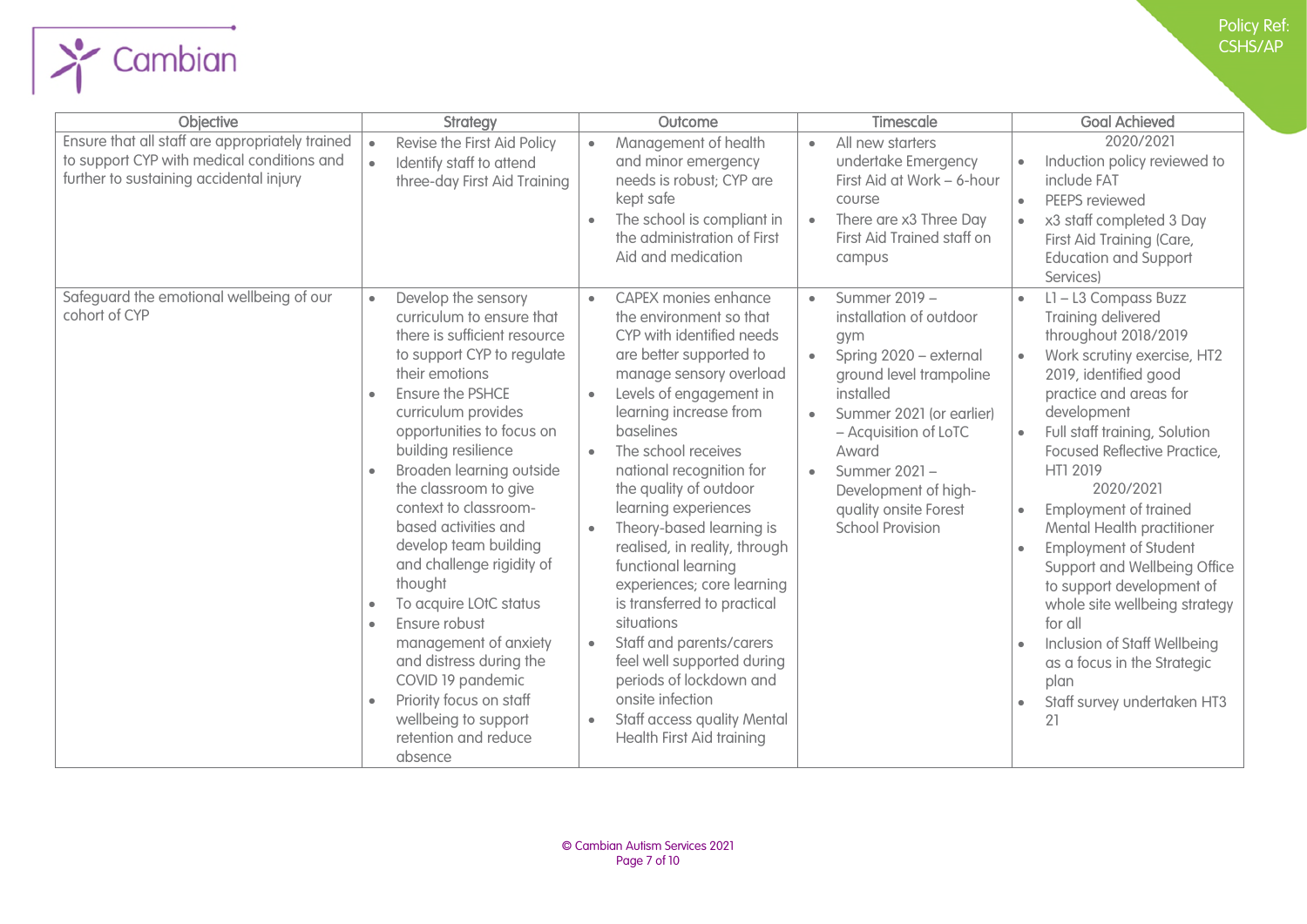

| further to sustaining accidental injury                   | three-day First Aid Training                                                                                                                                                                                                                                                                                                                                                                                                                                                                                                                                                                                                                                                | needs is robust; CYP are<br>kept safe<br>The school is compliant in<br>the administration of First<br>Aid and medication                                                                                                                                                                                                                                                                                                                                                                                                                                                                                                                                                                     | First Aid at Work - 6-hour<br>course<br>There are x3 Three Day<br>$\bullet$<br>First Aid Trained staff on<br>campus                                                                                                                                                                                   | include FAT<br>PEEPS reviewed<br>$\bullet$<br>x3 staff completed 3 Day<br>First Aid Training (Care,<br><b>Education and Support</b><br>Services)                                                                                                                                                                                                                                                                                                                                                                                                                                                   |
|-----------------------------------------------------------|-----------------------------------------------------------------------------------------------------------------------------------------------------------------------------------------------------------------------------------------------------------------------------------------------------------------------------------------------------------------------------------------------------------------------------------------------------------------------------------------------------------------------------------------------------------------------------------------------------------------------------------------------------------------------------|----------------------------------------------------------------------------------------------------------------------------------------------------------------------------------------------------------------------------------------------------------------------------------------------------------------------------------------------------------------------------------------------------------------------------------------------------------------------------------------------------------------------------------------------------------------------------------------------------------------------------------------------------------------------------------------------|-------------------------------------------------------------------------------------------------------------------------------------------------------------------------------------------------------------------------------------------------------------------------------------------------------|----------------------------------------------------------------------------------------------------------------------------------------------------------------------------------------------------------------------------------------------------------------------------------------------------------------------------------------------------------------------------------------------------------------------------------------------------------------------------------------------------------------------------------------------------------------------------------------------------|
| Safeguard the emotional wellbeing of our<br>cohort of CYP | Develop the sensory<br>$\bullet$<br>curriculum to ensure that<br>there is sufficient resource<br>to support CYP to regulate<br>their emotions<br><b>Ensure the PSHCE</b><br>$\bullet$<br>curriculum provides<br>opportunities to focus on<br>building resilience<br>Broaden learning outside<br>$\bullet$<br>the classroom to give<br>context to classroom-<br>based activities and<br>develop team building<br>and challenge rigidity of<br>thought<br>To acquire LOtC status<br>Ensure robust<br>$\bullet$<br>management of anxiety<br>and distress during the<br>COVID 19 pandemic<br>Priority focus on staff<br>wellbeing to support<br>retention and reduce<br>absence | <b>CAPEX monies enhance</b><br>$\bullet$<br>the environment so that<br>CYP with identified needs<br>are better supported to<br>manage sensory overload<br>Levels of engagement in<br>learning increase from<br>baselines<br>The school receives<br>$\bullet$<br>national recognition for<br>the quality of outdoor<br>learning experiences<br>Theory-based learning is<br>realised, in reality, through<br>functional learning<br>experiences; core learning<br>is transferred to practical<br>situations<br>Staff and parents/carers<br>feel well supported during<br>periods of lockdown and<br>onsite infection<br><b>Staff access quality Mental</b><br><b>Health First Aid training</b> | Summer 2019 -<br>$\bullet$<br>installation of outdoor<br>gym<br>Spring 2020 - external<br>ground level trampoline<br>installed<br>Summer 2021 (or earlier)<br>- Acquisition of LoTC<br>Award<br>Summer 2021-<br>$\bullet$<br>Development of high-<br>quality onsite Forest<br><b>School Provision</b> | L1-L3 Compass Buzz<br>$\bullet$<br>Training delivered<br>throughout 2018/2019<br>Work scrutiny exercise, HT2<br>2019, identified good<br>practice and areas for<br>development<br>Full staff training, Solution<br><b>Focused Reflective Practice,</b><br>HT1 2019<br>2020/2021<br><b>Employment of trained</b><br>Mental Health practitioner<br><b>Employment of Student</b><br>Support and Wellbeing Office<br>to support development of<br>whole site wellbeing strategy<br>for all<br>Inclusion of Staff Wellbeing<br>as a focus in the Strategic<br>plan<br>Staff survey undertaken HT3<br>21 |

Ensure that all staff are appropriately trained to support CYP with medical conditions and

Cambian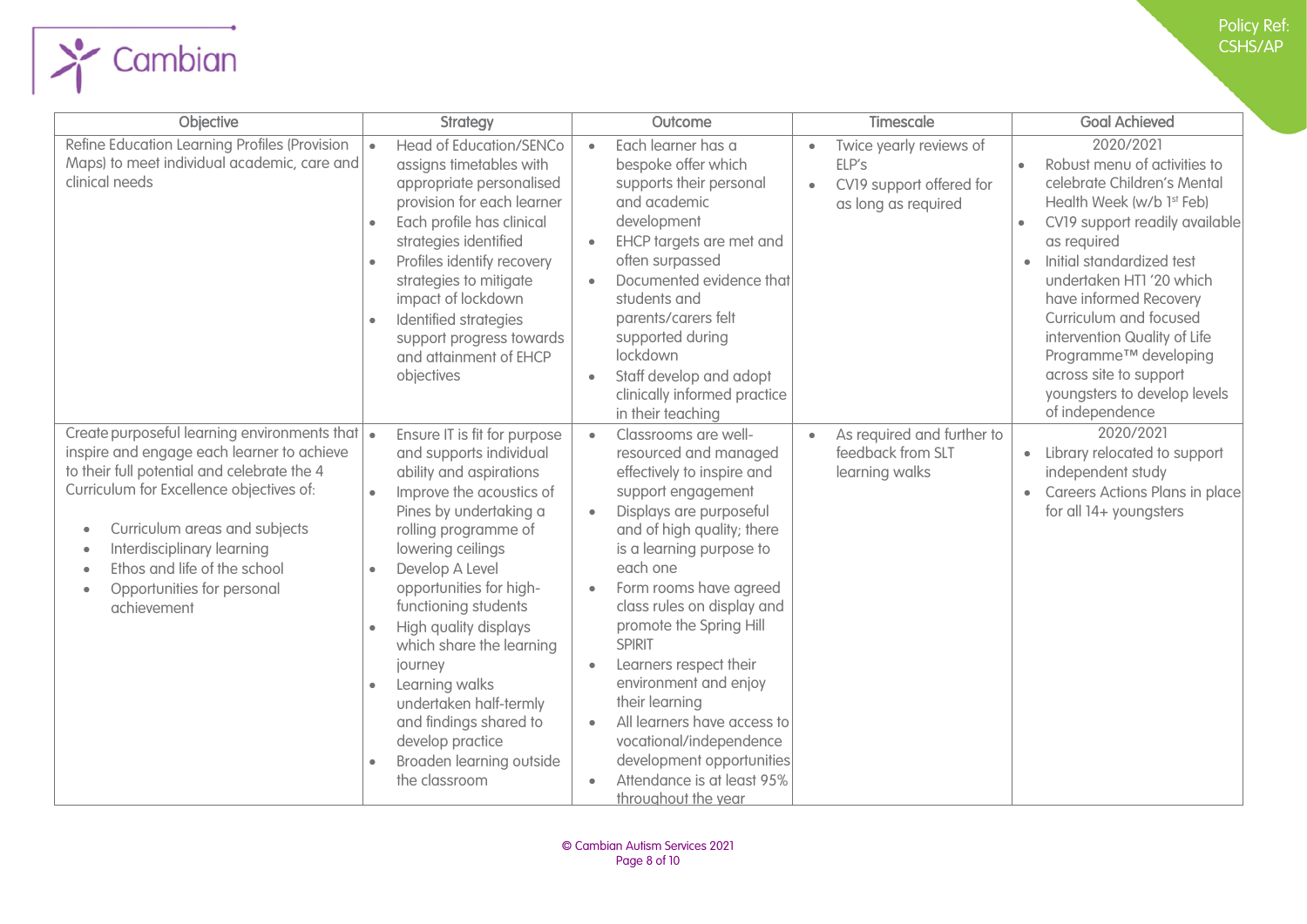| <b>Objective</b>                                                                                                                                                                                                                                                                                                                                                 | <b>Strategy</b>                                                                                                                                                                                                                                                                                                                                                                                                                                                                              | Outcome                                                                                                                                                                                                                                                                                                                                                                                                                                                                                                                                                                     | <b>Timescale</b>                                                                                              | <b>Goal Achieved</b>                                                                                                                                                                                                                                                                                                                                                                                                                            |
|------------------------------------------------------------------------------------------------------------------------------------------------------------------------------------------------------------------------------------------------------------------------------------------------------------------------------------------------------------------|----------------------------------------------------------------------------------------------------------------------------------------------------------------------------------------------------------------------------------------------------------------------------------------------------------------------------------------------------------------------------------------------------------------------------------------------------------------------------------------------|-----------------------------------------------------------------------------------------------------------------------------------------------------------------------------------------------------------------------------------------------------------------------------------------------------------------------------------------------------------------------------------------------------------------------------------------------------------------------------------------------------------------------------------------------------------------------------|---------------------------------------------------------------------------------------------------------------|-------------------------------------------------------------------------------------------------------------------------------------------------------------------------------------------------------------------------------------------------------------------------------------------------------------------------------------------------------------------------------------------------------------------------------------------------|
| Refine Education Learning Profiles (Provision<br>Maps) to meet individual academic, care and<br>clinical needs                                                                                                                                                                                                                                                   | <b>Head of Education/SENCo</b><br>assigns timetables with<br>appropriate personalised<br>provision for each learner<br>Each profile has clinical<br>strategies identified<br>Profiles identify recovery<br>strategies to mitigate<br>impact of lockdown<br>Identified strategies<br>support progress towards<br>and attainment of EHCP<br>objectives                                                                                                                                         | Each learner has a<br>$\bullet$<br>bespoke offer which<br>supports their personal<br>and academic<br>development<br>EHCP targets are met and<br>often surpassed<br>Documented evidence that<br>students and<br>parents/carers felt<br>supported during<br>lockdown<br>Staff develop and adopt<br>$\bullet$<br>clinically informed practice<br>in their teaching                                                                                                                                                                                                             | Twice yearly reviews of<br>$\bullet$<br>ELP's<br>CV19 support offered for<br>$\bullet$<br>as long as required | 2020/2021<br>Robust menu of activities to<br>celebrate Children's Mental<br>Health Week (w/b 1st Feb)<br>CV19 support readily available<br>$\bullet$<br>as required<br>Initial standardized test<br>$\bullet$<br>undertaken HTI '20 which<br>have informed Recovery<br>Curriculum and focused<br>intervention Quality of Life<br>Programme <sup>™</sup> developing<br>across site to support<br>youngsters to develop levels<br>of independence |
| Create purposeful learning environments that $\cdot$<br>inspire and engage each learner to achieve<br>to their full potential and celebrate the 4<br>Curriculum for Excellence objectives of:<br>Curriculum areas and subjects<br>٠<br>Interdisciplinary learning<br>٠<br>Ethos and life of the school<br>Opportunities for personal<br>$\bullet$<br>achievement | Ensure IT is fit for purpose<br>and supports individual<br>ability and aspirations<br>Improve the acoustics of<br>Pines by undertaking a<br>rolling programme of<br>lowering ceilings<br>Develop A Level<br>opportunities for high-<br>functioning students<br>High quality displays<br>$\bullet$<br>which share the learning<br>journey<br>Learning walks<br>$\bullet$<br>undertaken half-termly<br>and findings shared to<br>develop practice<br>Broaden learning outside<br>the classroom | Classrooms are well-<br>$\bullet$<br>resourced and managed<br>effectively to inspire and<br>support engagement<br>Displays are purposeful<br>$\bullet$<br>and of high quality; there<br>is a learning purpose to<br>each one<br>Form rooms have agreed<br>$\bullet$<br>class rules on display and<br>promote the Spring Hill<br><b>SPIRIT</b><br>Learners respect their<br>$\bullet$<br>environment and enjoy<br>their learning<br>All learners have access to<br>vocational/independence<br>development opportunities<br>Attendance is at least 95%<br>throughout the year | As required and further to<br>$\bullet$<br>feedback from SLT<br>learning walks                                | 2020/2021<br>• Library relocated to support<br>independent study<br>• Careers Actions Plans in place<br>for all 14+ youngsters                                                                                                                                                                                                                                                                                                                  |

 $\rightarrow$  Cambian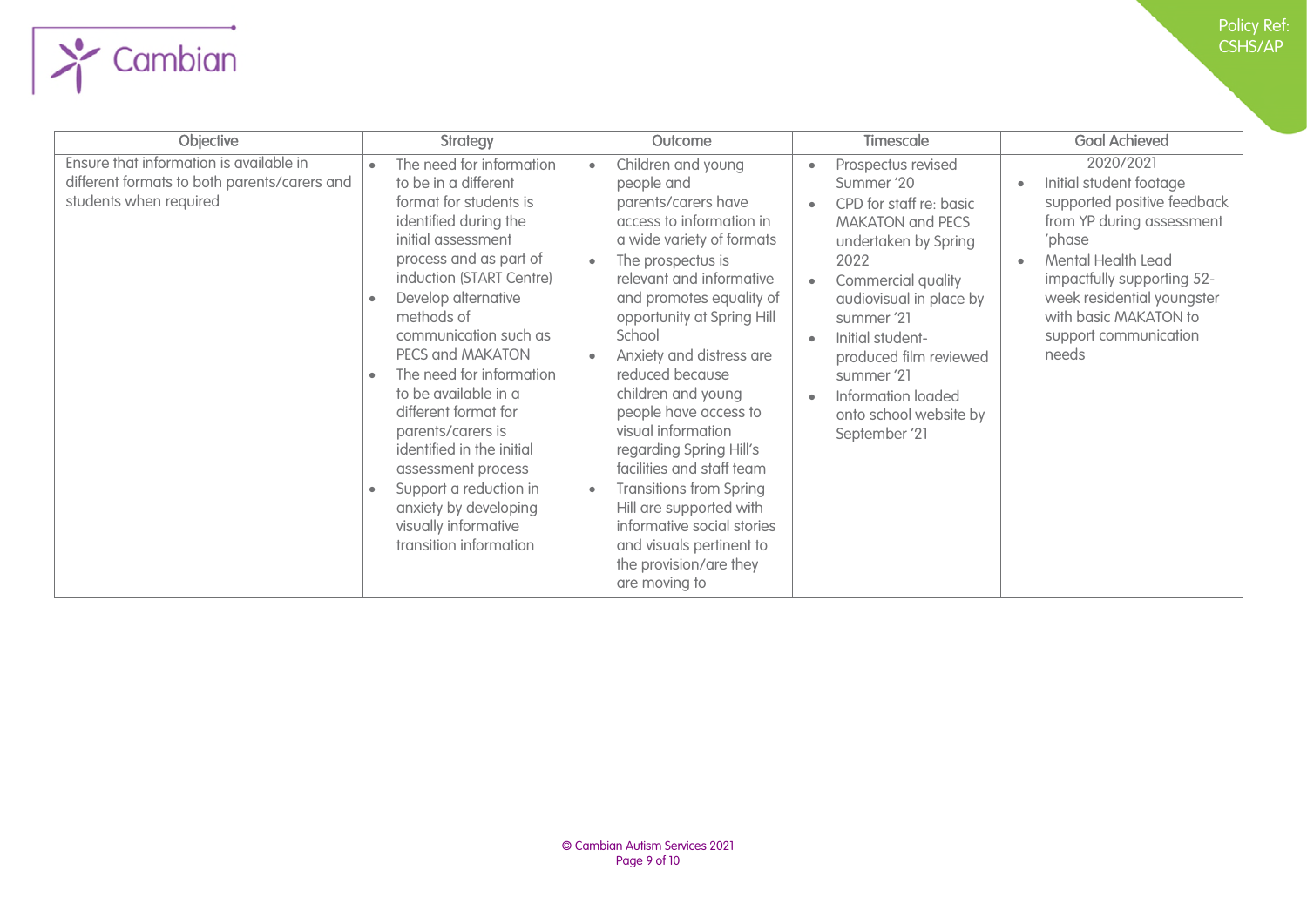| Objective                                                                                                         | <b>Strategy</b>                                                                                                                                                                                                                                                                                                                                                                                                                                                                                                                         | Outcome                                                                                                                                                                                                                                                                                                                                                                                                                                                                                                                                                                                          | <b>Timescale</b>                                                                                                                                                                                                                                                                                                                                                       | <b>Goal Achieved</b>                                                                                                                                                                                                                                    |
|-------------------------------------------------------------------------------------------------------------------|-----------------------------------------------------------------------------------------------------------------------------------------------------------------------------------------------------------------------------------------------------------------------------------------------------------------------------------------------------------------------------------------------------------------------------------------------------------------------------------------------------------------------------------------|--------------------------------------------------------------------------------------------------------------------------------------------------------------------------------------------------------------------------------------------------------------------------------------------------------------------------------------------------------------------------------------------------------------------------------------------------------------------------------------------------------------------------------------------------------------------------------------------------|------------------------------------------------------------------------------------------------------------------------------------------------------------------------------------------------------------------------------------------------------------------------------------------------------------------------------------------------------------------------|---------------------------------------------------------------------------------------------------------------------------------------------------------------------------------------------------------------------------------------------------------|
| Ensure that information is available in<br>different formats to both parents/carers and<br>students when required | The need for information<br>to be in a different<br>format for students is<br>identified during the<br>initial assessment<br>process and as part of<br>induction (START Centre)<br>Develop alternative<br>methods of<br>communication such as<br>PECS and MAKATON<br>The need for information<br>$\bullet$<br>to be available in a<br>different format for<br>parents/carers is<br>identified in the initial<br>assessment process<br>Support a reduction in<br>anxiety by developing<br>visually informative<br>transition information | Children and young<br>$\bullet$<br>people and<br>parents/carers have<br>access to information in<br>a wide variety of formats<br>The prospectus is<br>relevant and informative<br>and promotes equality of<br>opportunity at Spring Hill<br>School<br>Anxiety and distress are<br>reduced because<br>children and young<br>people have access to<br>visual information<br>regarding Spring Hill's<br>facilities and staff team<br><b>Transitions from Spring</b><br>Hill are supported with<br>informative social stories<br>and visuals pertinent to<br>the provision/are they<br>are moving to | Prospectus revised<br>$\bullet$<br>Summer '20<br>CPD for staff re: basic<br>$\bullet$<br><b>MAKATON and PECS</b><br>undertaken by Spring<br>2022<br>Commercial quality<br>audiovisual in place by<br>summer '21<br>Initial student-<br>$\bullet$<br>produced film reviewed<br>summer '21<br>Information loaded<br>$\bullet$<br>onto school website by<br>September '21 | 2020/2021<br>Initial student footage<br>supported positive feedback<br>from YP during assessment<br>'phase<br>Mental Health Lead<br>impactfully supporting 52-<br>week residential youngster<br>with basic MAKATON to<br>support communication<br>needs |

 $\sum$  Cambian